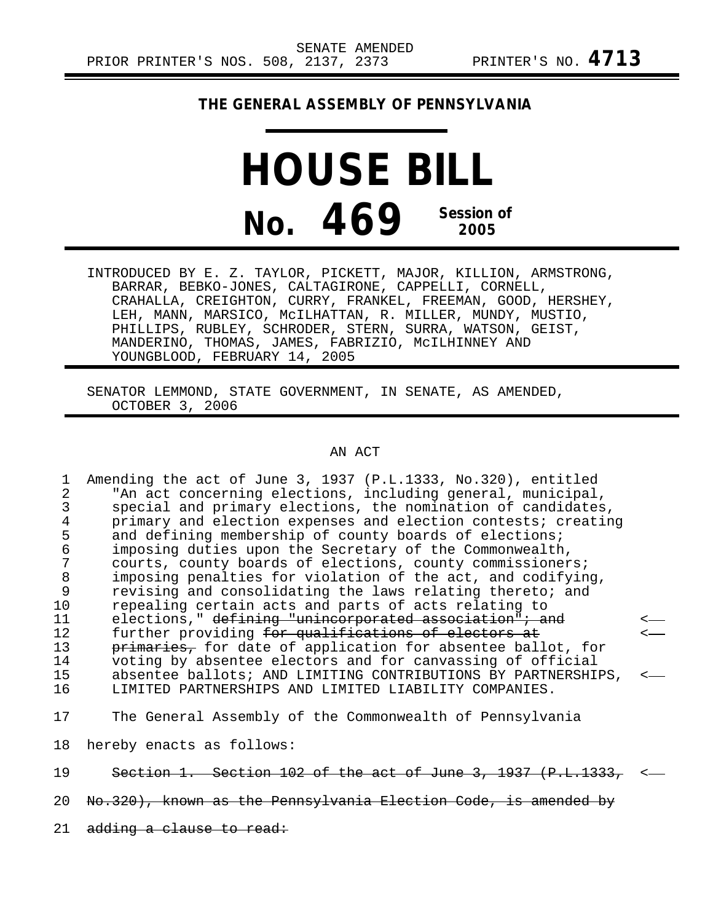## **THE GENERAL ASSEMBLY OF PENNSYLVANIA**

## **HOUSE BILL No. 469 Session of 2005**

INTRODUCED BY E. Z. TAYLOR, PICKETT, MAJOR, KILLION, ARMSTRONG, BARRAR, BEBKO-JONES, CALTAGIRONE, CAPPELLI, CORNELL, CRAHALLA, CREIGHTON, CURRY, FRANKEL, FREEMAN, GOOD, HERSHEY, LEH, MANN, MARSICO, McILHATTAN, R. MILLER, MUNDY, MUSTIO, PHILLIPS, RUBLEY, SCHRODER, STERN, SURRA, WATSON, GEIST, MANDERINO, THOMAS, JAMES, FABRIZIO, McILHINNEY AND YOUNGBLOOD, FEBRUARY 14, 2005

SENATOR LEMMOND, STATE GOVERNMENT, IN SENATE, AS AMENDED, OCTOBER 3, 2006

## AN ACT

| 1              | Amending the act of June 3, 1937 (P.L.1333, No.320), entitled |  |
|----------------|---------------------------------------------------------------|--|
| 2              | "An act concerning elections, including general, municipal,   |  |
| 3              | special and primary elections, the nomination of candidates,  |  |
| $\overline{4}$ | primary and election expenses and election contests; creating |  |
| 5              | and defining membership of county boards of elections;        |  |
| 6              | imposing duties upon the Secretary of the Commonwealth,       |  |
|                | courts, county boards of elections, county commissioners;     |  |
| 8              | imposing penalties for violation of the act, and codifying,   |  |
| 9              | revising and consolidating the laws relating thereto; and     |  |
| 10             | repealing certain acts and parts of acts relating to          |  |
| 11             | elections," defining "unincorporated association"; and        |  |
| 12             | further providing for qualifications of electors at           |  |
| 13             | primaries, for date of application for absentee ballot, for   |  |
| 14             | voting by absentee electors and for canvassing of official    |  |
| 15             | absentee ballots; AND LIMITING CONTRIBUTIONS BY PARTNERSHIPS, |  |
| 16             | LIMITED PARTNERSHIPS AND LIMITED LIABILITY COMPANIES.         |  |
| 17             | The General Assembly of the Commonwealth of Pennsylvania      |  |
|                |                                                               |  |
| 18             | hereby enacts as follows:                                     |  |
| 19             | Section 1. Section 102 of the act of June 3, 1937 (P.L.1333   |  |
|                |                                                               |  |

- 20 No.320), known as the Pennsylvania Election Code, is amended by
- 21 adding a clause to read: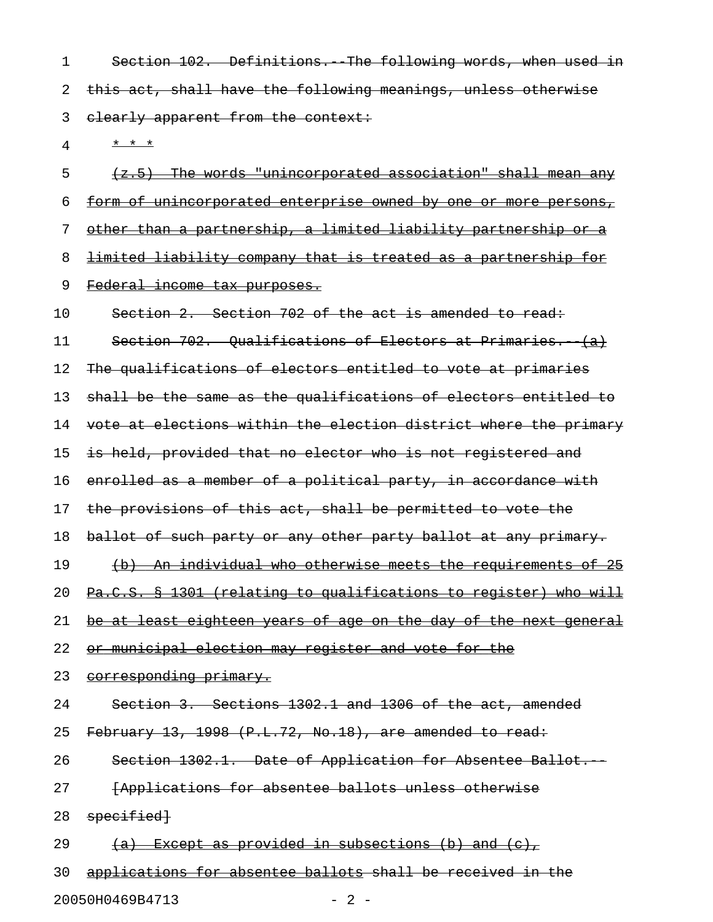1 Section 102. Definitions. The following words, when used in 2 this act, shall have the following meanings, unless otherwise 3 elearly apparent from the context:

4 \* \* \* \*

 $5$  (z.5) The words "unincorporated association" shall mean any 6 form of unincorporated enterprise owned by one or more persons, 7 other than a partnership, a limited liability partnership or a 8 limited liability company that is treated as a partnership for 9 Federal income tax purposes. 10 Section 2. Section 702 of the act is amended to read: 11 Section 702. Qualifications of Electors at Primaries. (a) 12 The qualifications of electors entitled to vote at primaries 13 shall be the same as the qualifications of electors entitled to 14 vote at elections within the election district where the primary 15 is held, provided that no elector who is not registered and 16 enrolled as a member of a political party, in accordance with 17 the provisions of this act, shall be permitted to vote the 18 ballot of such party or any other party ballot at any primary. 19 (b) An individual who otherwise meets the requirements of 25 20 Pa.C.S. § 1301 (relating to qualifications to register) who will 21 be at least eighteen years of age on the day of the next general 22 or municipal election may register and vote for the 23 corresponding primary. 24 Section 3. Sections 1302.1 and 1306 of the act, amended 25 February 13, 1998 (P.L.72, No.18), are amended to read: 26 Section 1302.1. Date of Application for Absentee Ballot. 27 **[Applications for absentee ballots unless otherwise** 

28 specified

29  $(a)$  Except as provided in subsections (b) and (c),

30 applications for absentee ballots shall be received in the 20050H0469B4713 - 2 -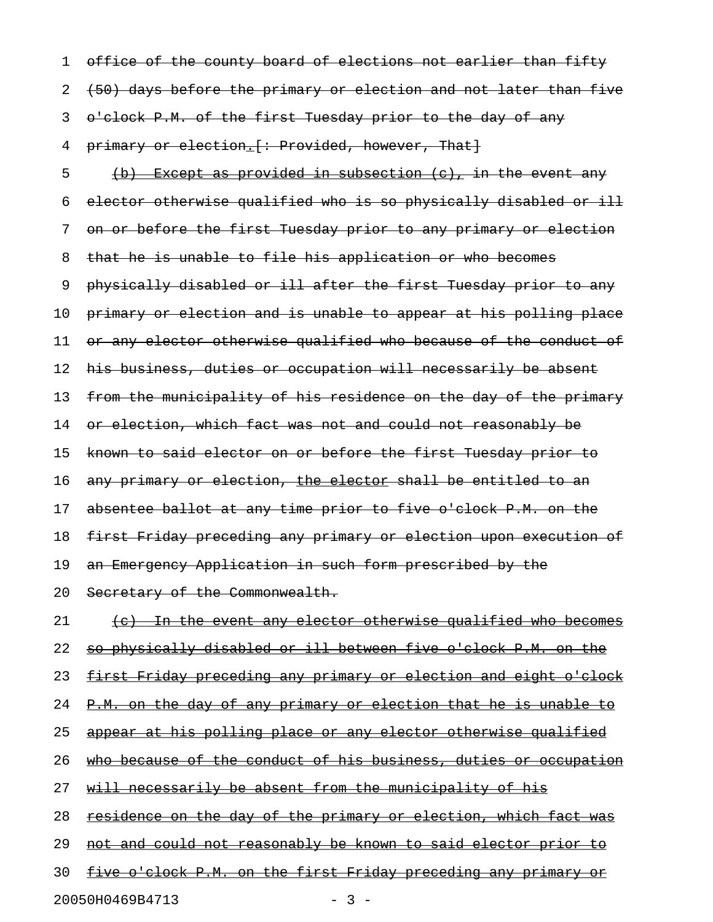1 office of the county board of elections not earlier than fifty 2 (50) days before the primary or election and not later than five 3 o'clock P.M. of the first Tuesday prior to the day of any 4 primary or election. [: Provided, however, That] 5 (b) Except as provided in subsection  $(e)$ , in the event any 6 elector otherwise qualified who is so physically disabled or ill 7 on or before the first Tuesday prior to any primary or election 8 that he is unable to file his application or who becomes 9 physically disabled or ill after the first Tuesday prior to any 10 primary or election and is unable to appear at his polling place 11 or any elector otherwise qualified who because of the conduct of 12 his business, duties or occupation will necessarily be absent 13 from the municipality of his residence on the day of the primary 14 or election, which fact was not and could not reasonably be 15 known to said elector on or before the first Tuesday prior to 16 any primary or election, the elector shall be entitled to an 17 absentee ballot at any time prior to five o'clock P.M. on the 18 first Friday preceding any primary or election upon execution of 19 an Emergency Application in such form prescribed by the 20 Secretary of the Commonwealth. 21 (c) In the event any elector otherwise qualified who becomes 22 so physically disabled or ill between five o'clock P.M. on the 23 first Friday preceding any primary or election and eight o'clock 24 P.M. on the day of any primary or election that he is unable to 25 appear at his polling place or any elector otherwise qualified 26 who because of the conduct of his business, duties or occupation 27 will necessarily be absent from the municipality of his 28 residence on the day of the primary or election, which fact was 29 not and could not reasonably be known to said elector prior to 30 five o'clock P.M. on the first Friday preceding any primary or

20050H0469B4713 - 3 -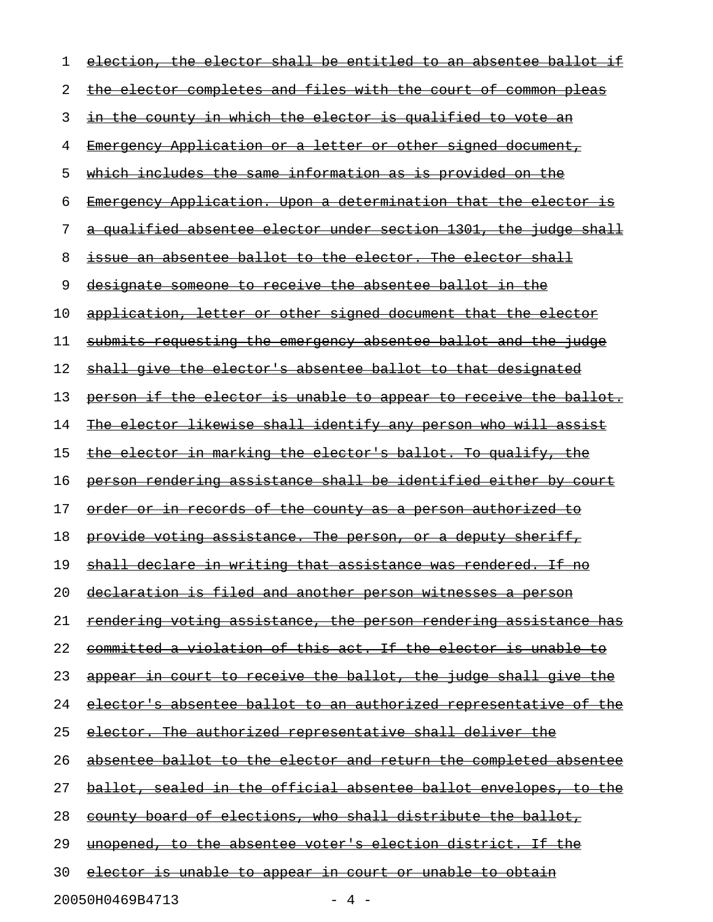| 1  | election, the elector shall be entitled to an absentee ballot if        |
|----|-------------------------------------------------------------------------|
| 2  | the elector completes and files with the court of common pleas          |
| 3  | in the county in which the elector is qualified to vote an              |
| 4  | <u> Emergency Application or a letter or other signed document, </u>    |
| 5  | <u>which includes the same information as is provided on the </u>       |
| 6  | Emergency Application. Upon a determination that the elector is         |
| 7  | a qualified absentee elector under section 1301, the judge shall        |
| 8  | issue an absentee ballot to the elector. The elector shall              |
| 9  | designate someone to receive the absentee ballot in the                 |
| 10 | application, letter or other signed document that the elector           |
| 11 | submits requesting the emergency absentee ballot and the judge          |
| 12 | shall give the elector's absentee ballot to that designated             |
| 13 | person if the elector is unable to appear to receive the ballot.        |
| 14 | The elector likewise shall identify any person who will assist          |
| 15 | <u>the elector in marking the elector's ballot. To qualify, the </u>    |
| 16 | person rendering assistance shall be identified either by court         |
| 17 | <u>order or in records of the county as a person authorized to</u>      |
| 18 | provide voting assistance. The person, or a deputy sheriff,             |
| 19 | shall declare in writing that assistance was rendered. If no            |
| 20 | declaration is filed and another person witnesses a person              |
| 21 | <u>rendering voting assistance, the person rendering assistance has</u> |
| 22 | <u>committed a violation of this act. If the elector is unable to</u>   |
| 23 | <u>appear in court to receive the ballot, the judge shall give the </u> |
| 24 | elector's absentee ballot to an authorized representative of the        |
| 25 | <u>elector. The authorized representative shall deliver the</u>         |
| 26 | absentee ballot to the elector and return the completed absentee        |
| 27 | ballot, sealed in the official absentee ballot envelopes, to the        |
| 28 | county board of elections, who shall distribute the ballot,             |
| 29 | <u>unopened, to the absentee voter's election district. If the </u>     |
| 30 | <u>elector is unable to appear in court or unable to obtain</u>         |
|    | 20050H0469B4713<br>- 4 -                                                |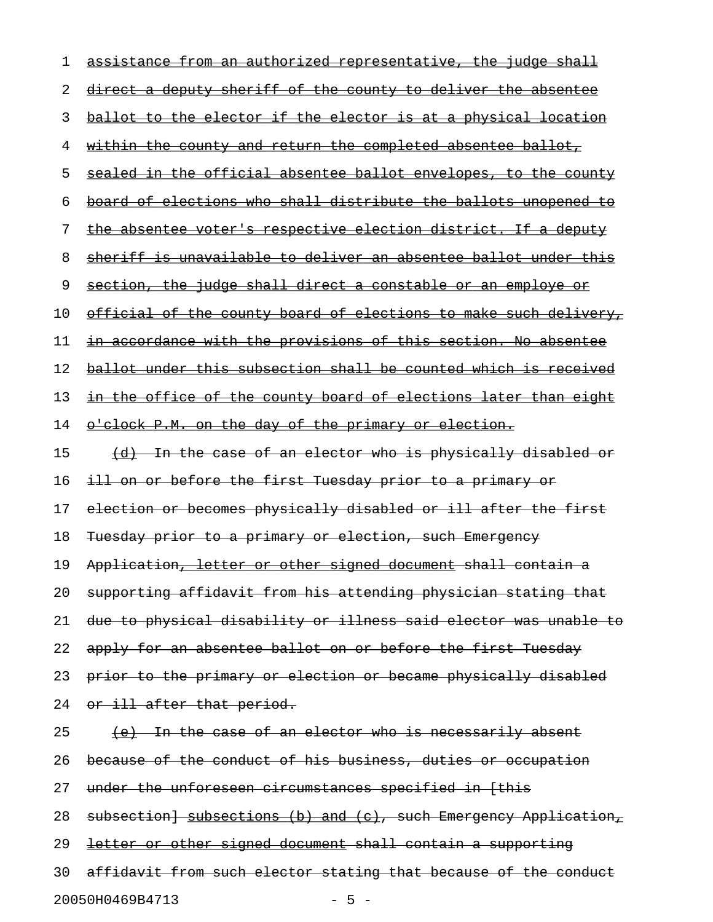| 1  | assistance from an authorized representative, the judge shall           |
|----|-------------------------------------------------------------------------|
| 2  | direct a deputy sheriff of the county to deliver the absentee           |
| 3  | ballot to the elector if the elector is at a physical location          |
| 4  | <u>within the county and return the completed absentee ballot, </u>     |
| 5  | sealed in the official absentee ballot envelopes, to the county         |
| 6  | board of elections who shall distribute the ballots unopened to         |
| 7  | the absentee voter's respective election district. If a deputy          |
| 8  | sheriff is unavailable to deliver an absentee ballot under this         |
| 9  | section, the judge shall direct a constable or an employe or            |
| 10 | <u>official of the county board of elections to make such delivery,</u> |
| 11 | in accordance with the provisions of this section. No absentee          |
| 12 | ballot under this subsection shall be counted which is received         |
| 13 | <u>in the office of the county board of elections later than eight</u>  |
| 14 | o'clock P.M. on the day of the primary or election.                     |
| 15 | (d) In the case of an elector who is physically disabled or             |
| 16 | ill on or before the first Tuesday prior to a primary or                |
| 17 | election or becomes physically disabled or ill after the first          |
| 18 | Tuesday prior to a primary or election, such Emergency                  |
| 19 | Application, letter or other signed document shall contain a            |
| 20 | supporting affidavit from his attending physician stating that          |
| 21 | due to physical disability or illness said elector was unable to        |
| 22 | apply for an absentee ballot on or before the first Tuesday             |
| 23 | prior to the primary or election or became physically disabled          |
| 24 | or ill after that period.                                               |
| 25 | <u>(e) In the case of an elector who is necessarily absent</u>          |
| 26 | because of the conduct of his business, duties or occupation            |
| 27 | under the unforeseen circumstances specified in [this                   |
| 28 | subsection] subsections (b) and (c), such Emergency Application,        |
| 29 | letter or other signed document shall contain a supporting              |
| 30 | affidavit from such elector stating that because of the conduct         |
|    | 20050H0469B4713<br>$-5 -$                                               |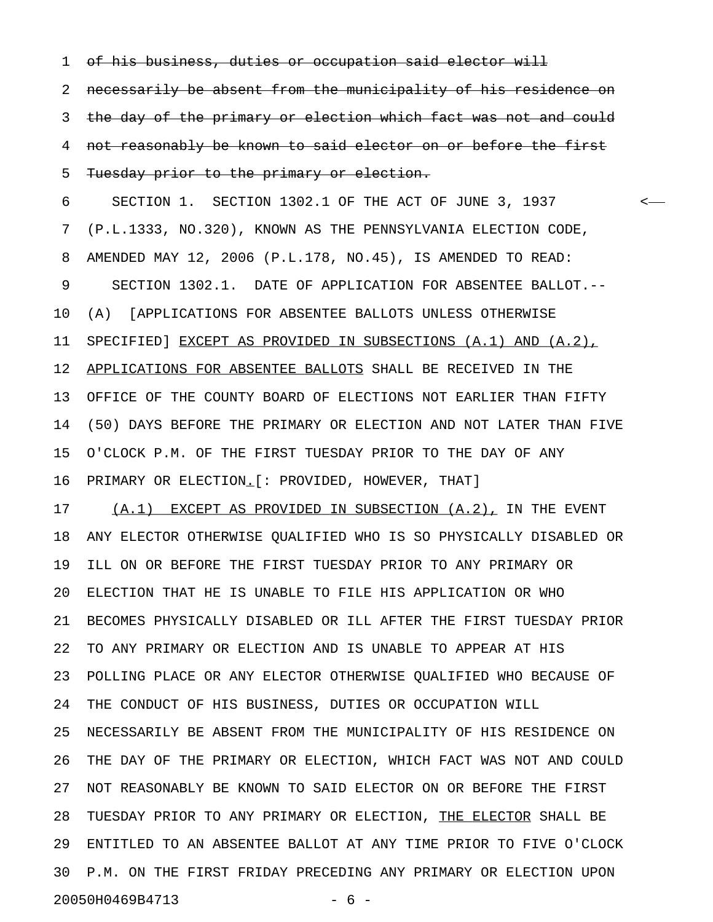1 of his business, duties or occupation said elector will

2 necessarily be absent from the municipality of his residence on 3 the day of the primary or election which fact was not and could 4 not reasonably be known to said elector on or before the first 5 Tuesday prior to the primary or election.

6 SECTION 1. SECTION 1302.1 OF THE ACT OF JUNE 3, 1937 < 7 (P.L.1333, NO.320), KNOWN AS THE PENNSYLVANIA ELECTION CODE, 8 AMENDED MAY 12, 2006 (P.L.178, NO.45), IS AMENDED TO READ: 9 SECTION 1302.1. DATE OF APPLICATION FOR ABSENTEE BALLOT.-- 10 (A) [APPLICATIONS FOR ABSENTEE BALLOTS UNLESS OTHERWISE 11 SPECIFIED] EXCEPT AS PROVIDED IN SUBSECTIONS (A.1) AND (A.2), 12 APPLICATIONS FOR ABSENTEE BALLOTS SHALL BE RECEIVED IN THE 13 OFFICE OF THE COUNTY BOARD OF ELECTIONS NOT EARLIER THAN FIFTY 14 (50) DAYS BEFORE THE PRIMARY OR ELECTION AND NOT LATER THAN FIVE 15 O'CLOCK P.M. OF THE FIRST TUESDAY PRIOR TO THE DAY OF ANY 16 PRIMARY OR ELECTION.[: PROVIDED, HOWEVER, THAT] \_

17 (A.1) EXCEPT AS PROVIDED IN SUBSECTION (A.2), IN THE EVENT 18 ANY ELECTOR OTHERWISE QUALIFIED WHO IS SO PHYSICALLY DISABLED OR 19 ILL ON OR BEFORE THE FIRST TUESDAY PRIOR TO ANY PRIMARY OR 20 ELECTION THAT HE IS UNABLE TO FILE HIS APPLICATION OR WHO 21 BECOMES PHYSICALLY DISABLED OR ILL AFTER THE FIRST TUESDAY PRIOR 22 TO ANY PRIMARY OR ELECTION AND IS UNABLE TO APPEAR AT HIS 23 POLLING PLACE OR ANY ELECTOR OTHERWISE QUALIFIED WHO BECAUSE OF 24 THE CONDUCT OF HIS BUSINESS, DUTIES OR OCCUPATION WILL 25 NECESSARILY BE ABSENT FROM THE MUNICIPALITY OF HIS RESIDENCE ON 26 THE DAY OF THE PRIMARY OR ELECTION, WHICH FACT WAS NOT AND COULD 27 NOT REASONABLY BE KNOWN TO SAID ELECTOR ON OR BEFORE THE FIRST 28 TUESDAY PRIOR TO ANY PRIMARY OR ELECTION, THE ELECTOR SHALL BE 29 ENTITLED TO AN ABSENTEE BALLOT AT ANY TIME PRIOR TO FIVE O'CLOCK 30 P.M. ON THE FIRST FRIDAY PRECEDING ANY PRIMARY OR ELECTION UPON 20050H0469B4713 - 6 -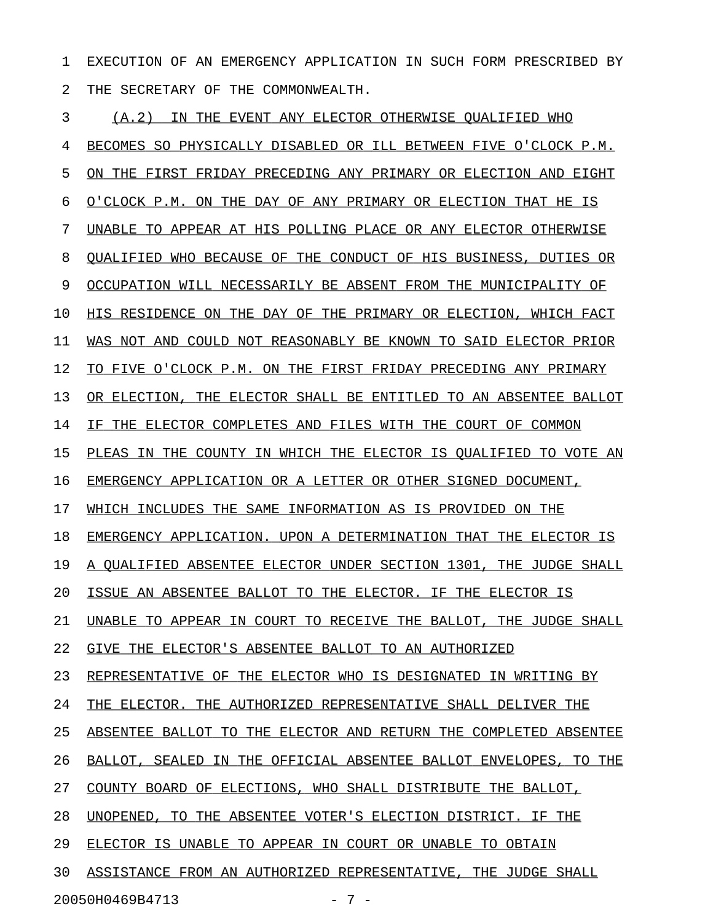1 EXECUTION OF AN EMERGENCY APPLICATION IN SUCH FORM PRESCRIBED BY 2 THE SECRETARY OF THE COMMONWEALTH.

3 (A.2) IN THE EVENT ANY ELECTOR OTHERWISE QUALIFIED WHO 4 BECOMES SO PHYSICALLY DISABLED OR ILL BETWEEN FIVE O'CLOCK P.M. 5 ON THE FIRST FRIDAY PRECEDING ANY PRIMARY OR ELECTION AND EIGHT 6 O'CLOCK P.M. ON THE DAY OF ANY PRIMARY OR ELECTION THAT HE IS 7 UNABLE TO APPEAR AT HIS POLLING PLACE OR ANY ELECTOR OTHERWISE 8 OUALIFIED WHO BECAUSE OF THE CONDUCT OF HIS BUSINESS, DUTIES OR 9 OCCUPATION WILL NECESSARILY BE ABSENT FROM THE MUNICIPALITY OF 10 HIS RESIDENCE ON THE DAY OF THE PRIMARY OR ELECTION, WHICH FACT 11 WAS NOT AND COULD NOT REASONABLY BE KNOWN TO SAID ELECTOR PRIOR 12 TO FIVE O'CLOCK P.M. ON THE FIRST FRIDAY PRECEDING ANY PRIMARY 13 OR ELECTION, THE ELECTOR SHALL BE ENTITLED TO AN ABSENTEE BALLOT 14 IF THE ELECTOR COMPLETES AND FILES WITH THE COURT OF COMMON 15 PLEAS IN THE COUNTY IN WHICH THE ELECTOR IS QUALIFIED TO VOTE AN 16 EMERGENCY APPLICATION OR A LETTER OR OTHER SIGNED DOCUMENT, 17 WHICH INCLUDES THE SAME INFORMATION AS IS PROVIDED ON THE 18 EMERGENCY APPLICATION. UPON A DETERMINATION THAT THE ELECTOR IS 19 A QUALIFIED ABSENTEE ELECTOR UNDER SECTION 1301, THE JUDGE SHALL 20 ISSUE AN ABSENTEE BALLOT TO THE ELECTOR. IF THE ELECTOR IS 21 UNABLE TO APPEAR IN COURT TO RECEIVE THE BALLOT, THE JUDGE SHALL 22 GIVE THE ELECTOR'S ABSENTEE BALLOT TO AN AUTHORIZED 23 REPRESENTATIVE OF THE ELECTOR WHO IS DESIGNATED IN WRITING BY 24 THE ELECTOR. THE AUTHORIZED REPRESENTATIVE SHALL DELIVER THE 25 ABSENTEE BALLOT TO THE ELECTOR AND RETURN THE COMPLETED ABSENTEE 26 BALLOT, SEALED IN THE OFFICIAL ABSENTEE BALLOT ENVELOPES, TO THE 27 COUNTY BOARD OF ELECTIONS, WHO SHALL DISTRIBUTE THE BALLOT, 28 UNOPENED, TO THE ABSENTEE VOTER'S ELECTION DISTRICT. IF THE 29 ELECTOR IS UNABLE TO APPEAR IN COURT OR UNABLE TO OBTAIN 30 ASSISTANCE FROM AN AUTHORIZED REPRESENTATIVE, THE JUDGE SHALL 20050H0469B4713 - 7 -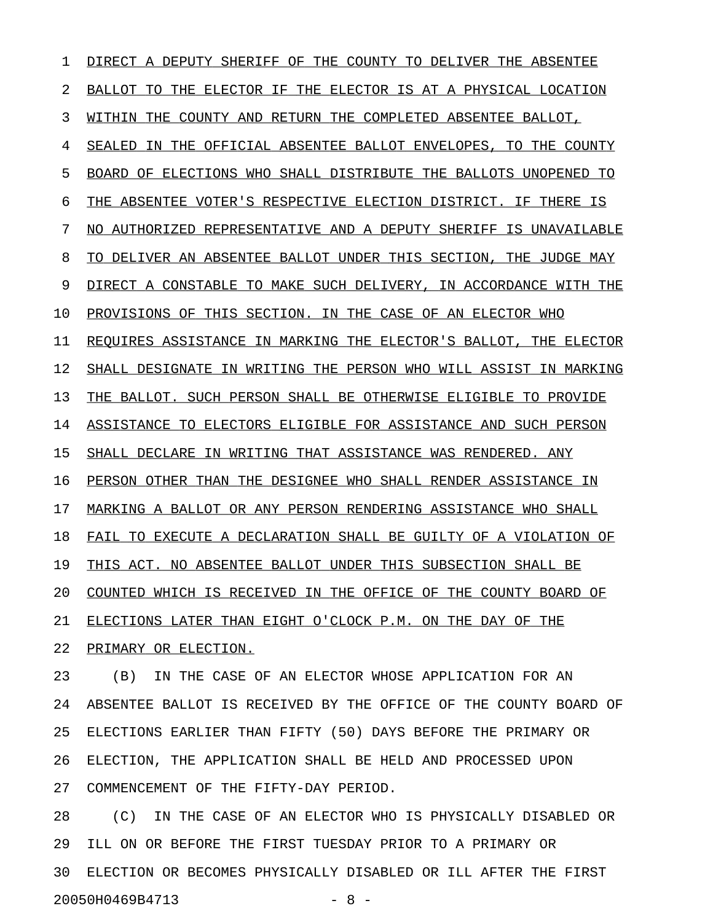1 DIRECT A DEPUTY SHERIFF OF THE COUNTY TO DELIVER THE ABSENTEE 2 BALLOT TO THE ELECTOR IF THE ELECTOR IS AT A PHYSICAL LOCATION 3 WITHIN THE COUNTY AND RETURN THE COMPLETED ABSENTEE BALLOT, 4 SEALED IN THE OFFICIAL ABSENTEE BALLOT ENVELOPES, TO THE COUNTY 5 BOARD OF ELECTIONS WHO SHALL DISTRIBUTE THE BALLOTS UNOPENED TO 6 THE ABSENTEE VOTER'S RESPECTIVE ELECTION DISTRICT. IF THERE IS 7 NO AUTHORIZED REPRESENTATIVE AND A DEPUTY SHERIFF IS UNAVAILABLE 8 TO DELIVER AN ABSENTEE BALLOT UNDER THIS SECTION, THE JUDGE MAY 9 DIRECT A CONSTABLE TO MAKE SUCH DELIVERY, IN ACCORDANCE WITH THE 10 PROVISIONS OF THIS SECTION. IN THE CASE OF AN ELECTOR WHO 11 REQUIRES ASSISTANCE IN MARKING THE ELECTOR'S BALLOT, THE ELECTOR 12 SHALL DESIGNATE IN WRITING THE PERSON WHO WILL ASSIST IN MARKING 13 THE BALLOT. SUCH PERSON SHALL BE OTHERWISE ELIGIBLE TO PROVIDE 14 ASSISTANCE TO ELECTORS ELIGIBLE FOR ASSISTANCE AND SUCH PERSON 15 SHALL DECLARE IN WRITING THAT ASSISTANCE WAS RENDERED. ANY 16 PERSON OTHER THAN THE DESIGNEE WHO SHALL RENDER ASSISTANCE IN 17 MARKING A BALLOT OR ANY PERSON RENDERING ASSISTANCE WHO SHALL 18 FAIL TO EXECUTE A DECLARATION SHALL BE GUILTY OF A VIOLATION OF 19 THIS ACT. NO ABSENTEE BALLOT UNDER THIS SUBSECTION SHALL BE 20 COUNTED WHICH IS RECEIVED IN THE OFFICE OF THE COUNTY BOARD OF 21 ELECTIONS LATER THAN EIGHT O'CLOCK P.M. ON THE DAY OF THE 22 PRIMARY OR ELECTION.

23 (B) IN THE CASE OF AN ELECTOR WHOSE APPLICATION FOR AN 24 ABSENTEE BALLOT IS RECEIVED BY THE OFFICE OF THE COUNTY BOARD OF 25 ELECTIONS EARLIER THAN FIFTY (50) DAYS BEFORE THE PRIMARY OR 26 ELECTION, THE APPLICATION SHALL BE HELD AND PROCESSED UPON 27 COMMENCEMENT OF THE FIFTY-DAY PERIOD.

28 (C) IN THE CASE OF AN ELECTOR WHO IS PHYSICALLY DISABLED OR 29 ILL ON OR BEFORE THE FIRST TUESDAY PRIOR TO A PRIMARY OR 30 ELECTION OR BECOMES PHYSICALLY DISABLED OR ILL AFTER THE FIRST 20050H0469B4713 - 8 -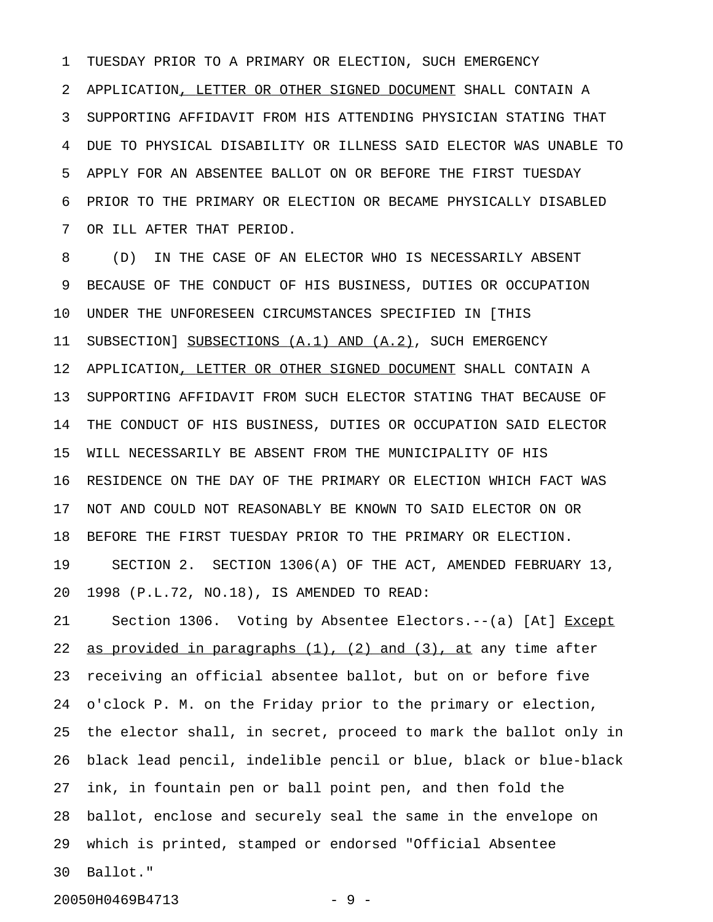1 TUESDAY PRIOR TO A PRIMARY OR ELECTION, SUCH EMERGENCY 2 APPLICATION, LETTER OR OTHER SIGNED DOCUMENT SHALL CONTAIN A 3 SUPPORTING AFFIDAVIT FROM HIS ATTENDING PHYSICIAN STATING THAT 4 DUE TO PHYSICAL DISABILITY OR ILLNESS SAID ELECTOR WAS UNABLE TO 5 APPLY FOR AN ABSENTEE BALLOT ON OR BEFORE THE FIRST TUESDAY 6 PRIOR TO THE PRIMARY OR ELECTION OR BECAME PHYSICALLY DISABLED 7 OR ILL AFTER THAT PERIOD.

8 (D) IN THE CASE OF AN ELECTOR WHO IS NECESSARILY ABSENT 9 BECAUSE OF THE CONDUCT OF HIS BUSINESS, DUTIES OR OCCUPATION 10 UNDER THE UNFORESEEN CIRCUMSTANCES SPECIFIED IN [THIS 11 SUBSECTION] SUBSECTIONS (A.1) AND (A.2), SUCH EMERGENCY 12 APPLICATION, LETTER OR OTHER SIGNED DOCUMENT SHALL CONTAIN A 13 SUPPORTING AFFIDAVIT FROM SUCH ELECTOR STATING THAT BECAUSE OF 14 THE CONDUCT OF HIS BUSINESS, DUTIES OR OCCUPATION SAID ELECTOR 15 WILL NECESSARILY BE ABSENT FROM THE MUNICIPALITY OF HIS 16 RESIDENCE ON THE DAY OF THE PRIMARY OR ELECTION WHICH FACT WAS 17 NOT AND COULD NOT REASONABLY BE KNOWN TO SAID ELECTOR ON OR 18 BEFORE THE FIRST TUESDAY PRIOR TO THE PRIMARY OR ELECTION. 19 SECTION 2. SECTION 1306(A) OF THE ACT, AMENDED FEBRUARY 13, 20 1998 (P.L.72, NO.18), IS AMENDED TO READ:

21 Section 1306. Voting by Absentee Electors.--(a) [At] Except 22 as provided in paragraphs  $(1)$ ,  $(2)$  and  $(3)$ , at any time after 23 receiving an official absentee ballot, but on or before five 24 o'clock P. M. on the Friday prior to the primary or election, 25 the elector shall, in secret, proceed to mark the ballot only in 26 black lead pencil, indelible pencil or blue, black or blue-black 27 ink, in fountain pen or ball point pen, and then fold the 28 ballot, enclose and securely seal the same in the envelope on 29 which is printed, stamped or endorsed "Official Absentee 30 Ballot."

20050H0469B4713 - 9 -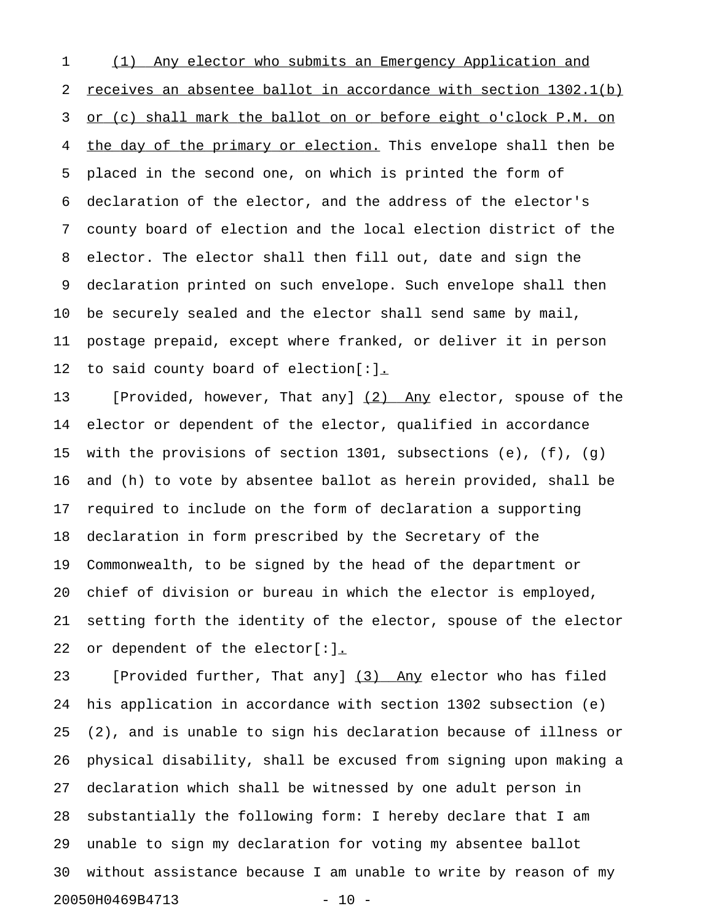1 (1) Any elector who submits an Emergency Application and 2 receives an absentee ballot in accordance with section 1302.1(b) 3 or (c) shall mark the ballot on or before eight o'clock P.M. on 4 the day of the primary or election. This envelope shall then be 5 placed in the second one, on which is printed the form of 6 declaration of the elector, and the address of the elector's 7 county board of election and the local election district of the 8 elector. The elector shall then fill out, date and sign the 9 declaration printed on such envelope. Such envelope shall then 10 be securely sealed and the elector shall send same by mail, 11 postage prepaid, except where franked, or deliver it in person 12 to said county board of election[:].

13 [Provided, however, That any] (2) Any elector, spouse of the 14 elector or dependent of the elector, qualified in accordance 15 with the provisions of section 1301, subsections (e), (f), (g) 16 and (h) to vote by absentee ballot as herein provided, shall be 17 required to include on the form of declaration a supporting 18 declaration in form prescribed by the Secretary of the 19 Commonwealth, to be signed by the head of the department or 20 chief of division or bureau in which the elector is employed, 21 setting forth the identity of the elector, spouse of the elector 22 or dependent of the elector[:].

23 [Provided further, That any] (3) Any elector who has filed 24 his application in accordance with section 1302 subsection (e) 25 (2), and is unable to sign his declaration because of illness or 26 physical disability, shall be excused from signing upon making a 27 declaration which shall be witnessed by one adult person in 28 substantially the following form: I hereby declare that I am 29 unable to sign my declaration for voting my absentee ballot 30 without assistance because I am unable to write by reason of my 20050H0469B4713 - 10 -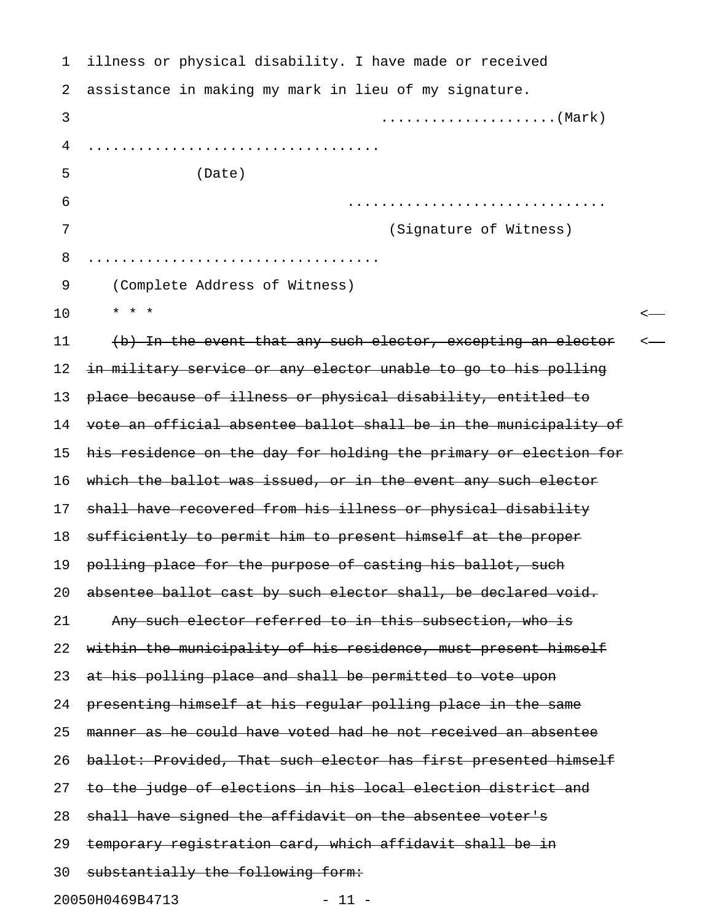| 1  | illness or physical disability. I have made or received          |  |
|----|------------------------------------------------------------------|--|
| 2  | assistance in making my mark in lieu of my signature.            |  |
| 3  |                                                                  |  |
| 4  |                                                                  |  |
| 5  | (Date)                                                           |  |
| 6  |                                                                  |  |
| 7  | (Signature of Witness)                                           |  |
| 8  |                                                                  |  |
| 9  | (Complete Address of Witness)                                    |  |
| 10 | $\star$ $\star$ $\star$                                          |  |
| 11 | (b) In the event that any such elector, excepting an elector     |  |
| 12 | in military service or any elector unable to go to his polling   |  |
| 13 | place because of illness or physical disability, entitled to     |  |
| 14 | vote an official absentee ballot shall be in the municipality of |  |
| 15 | his residence on the day for holding the primary or election for |  |
| 16 | which the ballot was issued, or in the event any such elector    |  |
| 17 | shall have recovered from his illness or physical disability     |  |
| 18 | sufficiently to permit him to present himself at the proper      |  |
| 19 | polling place for the purpose of casting his ballot, such        |  |
| 20 | absentee ballot cast by such elector shall, be declared void.    |  |
| 21 | Any such elector referred to in this subsection, who is          |  |
| 22 | within the municipality of his residence, must present himself   |  |
| 23 | at his polling place and shall be permitted to vote upon         |  |
| 24 | presenting himself at his regular polling place in the same      |  |
| 25 | manner as he could have voted had he not received an absentee    |  |
| 26 | ballot: Provided, That such elector has first presented himself  |  |
| 27 | to the judge of elections in his local election district and     |  |
| 28 | shall have signed the affidavit on the absentee voter's          |  |
| 29 | temporary registration card, which affidavit shall be in         |  |
| 30 | substantially the following form:                                |  |
|    | 20050H0469B4713<br>$-11 -$                                       |  |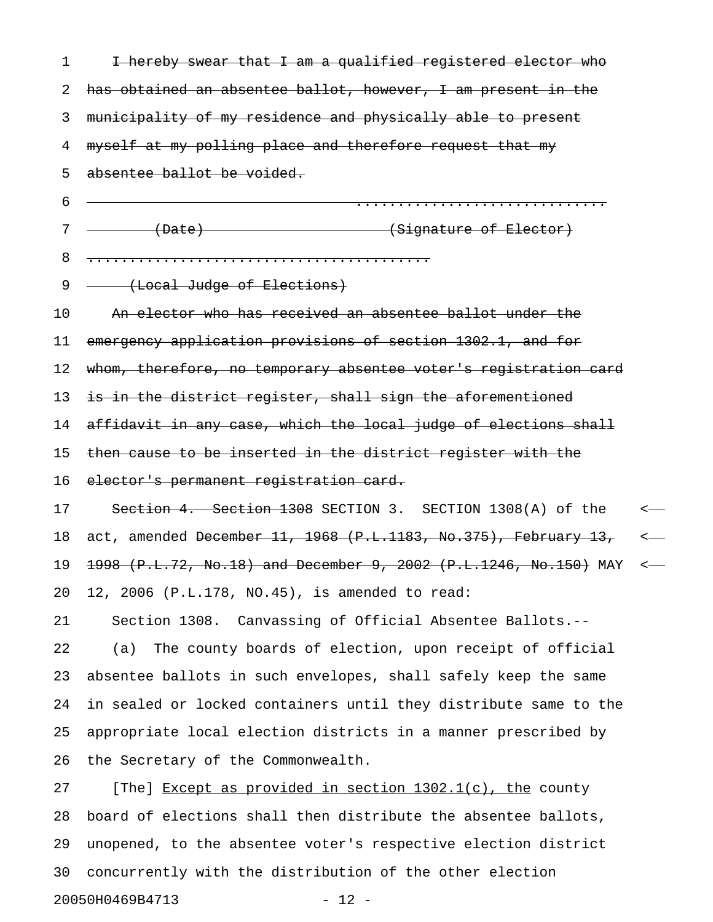| 1  | I hereby swear that I am a qualified registered elector who        |                  |
|----|--------------------------------------------------------------------|------------------|
| 2  | has obtained an absentee ballot, however, I am present in the      |                  |
| 3  | municipality of my residence and physically able to present        |                  |
| 4  | myself at my polling place and therefore request that my           |                  |
| 5  | absentee ballot be voided.                                         |                  |
| 6  |                                                                    |                  |
| 7  | (Date)<br>(Signature of Elector)                                   |                  |
| 8  |                                                                    |                  |
| 9  | (Local Judge of Elections)                                         |                  |
| 10 | An elector who has received an absentee ballot under the           |                  |
| 11 | emergency application provisions of section 1302.1, and for        |                  |
| 12 | whom, therefore, no temporary absentee voter's registration card   |                  |
| 13 | is in the district register, shall sign the aforementioned         |                  |
| 14 | affidavit in any case, which the local judge of elections shall    |                  |
| 15 | then cause to be inserted in the district register with the        |                  |
| 16 | elector's permanent registration card.                             |                  |
| 17 | Section 4. Section 1308 SECTION 3. SECTION 1308(A) of the          | $\longleftarrow$ |
| 18 | act, amended December 11, 1968 $(P.L.1183, No.375)$ , February 13, | $\longleftarrow$ |
| 19 | 1998 (P.L.72, No.18) and December 9, 2002 (P.L.1246, No.150) MAY   | $\longleftarrow$ |
| 20 | 12, 2006 (P.L.178, NO.45), is amended to read:                     |                  |
| 21 | Section 1308. Canvassing of Official Absentee Ballots.--           |                  |
| 22 | The county boards of election, upon receipt of official<br>(a)     |                  |
| 23 | absentee ballots in such envelopes, shall safely keep the same     |                  |
| 24 | in sealed or locked containers until they distribute same to the   |                  |
| 25 | appropriate local election districts in a manner prescribed by     |                  |
| 26 | the Secretary of the Commonwealth.                                 |                  |
| 27 | [The] Except as provided in section 1302.1(c), the county          |                  |
| 28 | board of elections shall then distribute the absentee ballots,     |                  |
| 29 | unopened, to the absentee voter's respective election district     |                  |
|    |                                                                    |                  |

20050H0469B4713 - 12 -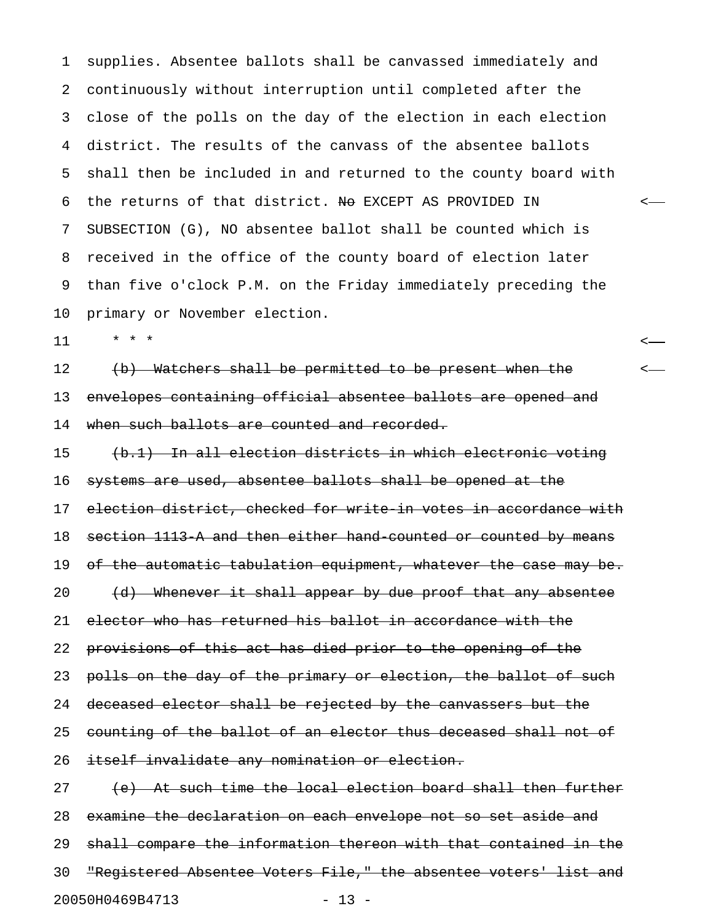1 supplies. Absentee ballots shall be canvassed immediately and 2 continuously without interruption until completed after the 3 close of the polls on the day of the election in each election 4 district. The results of the canvass of the absentee ballots 5 shall then be included in and returned to the county board with 6 the returns of that district. No EXCEPT AS PROVIDED IN  $\leftarrow$ 7 SUBSECTION (G), NO absentee ballot shall be counted which is 8 received in the office of the county board of election later 9 than five o'clock P.M. on the Friday immediately preceding the 10 primary or November election.

11 \* \* \* <

12 (b) Watchers shall be permitted to be present when the  $\sim$ 13 envelopes containing official absentee ballots are opened and 14 when such ballots are counted and recorded.

15 (b.1) In all election districts in which electronic voting 16 systems are used, absentee ballots shall be opened at the 17 election district, checked for write in votes in accordance with 18 section 1113-A and then either hand-counted or counted by means 19 of the automatic tabulation equipment, whatever the case may be. 20 (d) Whenever it shall appear by due proof that any absentee 21 elector who has returned his ballot in accordance with the 22 provisions of this act has died prior to the opening of the 23 polls on the day of the primary or election, the ballot of such 24 deceased elector shall be rejected by the canvassers but the 25 counting of the ballot of an elector thus deceased shall not of 26 itself invalidate any nomination or election.

27 (e) At such time the local election board shall then further 28 examine the declaration on each envelope not so set aside and 29 shall compare the information thereon with that contained in the 30 "Registered Absentee Voters File," the absentee voters' list and 20050H0469B4713 - 13 -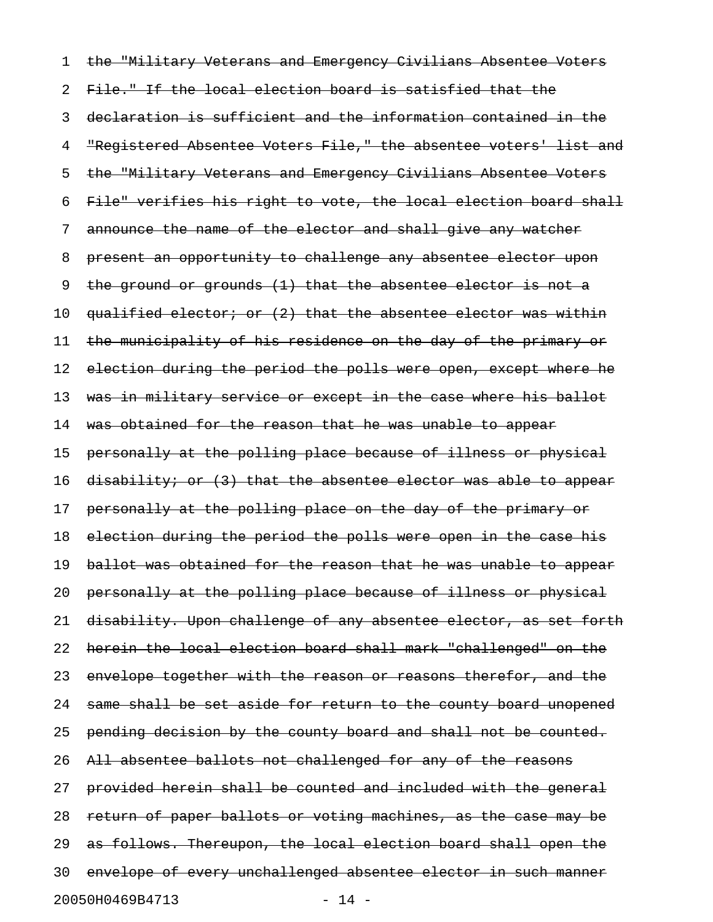1 the "Military Veterans and Emergency Civilians Absentee Voters 2 File." If the local election board is satisfied that the 3 declaration is sufficient and the information contained in the 4 "Registered Absentee Voters File," the absentee voters' list and 5 the "Military Veterans and Emergency Civilians Absentee Voters 6 File" verifies his right to vote, the local election board shall 7 announce the name of the elector and shall give any watcher 8 present an opportunity to challenge any absentee elector upon 9 the ground or grounds (1) that the absentee elector is not a 10 qualified elector; or (2) that the absentee elector was within 11 the municipality of his residence on the day of the primary or 12 election during the period the polls were open, except where he 13 was in military service or except in the case where his ballot 14 was obtained for the reason that he was unable to appear 15 personally at the polling place because of illness or physical 16 disability; or (3) that the absentee elector was able to appear 17 personally at the polling place on the day of the primary or 18 election during the period the polls were open in the case his 19 ballot was obtained for the reason that he was unable to appear 20 personally at the polling place because of illness or physical 21 disability. Upon challenge of any absentee elector, as set forth 22 herein the local election board shall mark "challenged" on the 23 envelope together with the reason or reasons therefor, and the 24 same shall be set aside for return to the county board unopened 25 pending decision by the county board and shall not be counted. 26 All absentee ballots not challenged for any of the reasons 27 provided herein shall be counted and included with the general 28 return of paper ballots or voting machines, as the case may be 29 as follows. Thereupon, the local election board shall open the 30 envelope of every unchallenged absentee elector in such manner 20050H0469B4713 - 14 -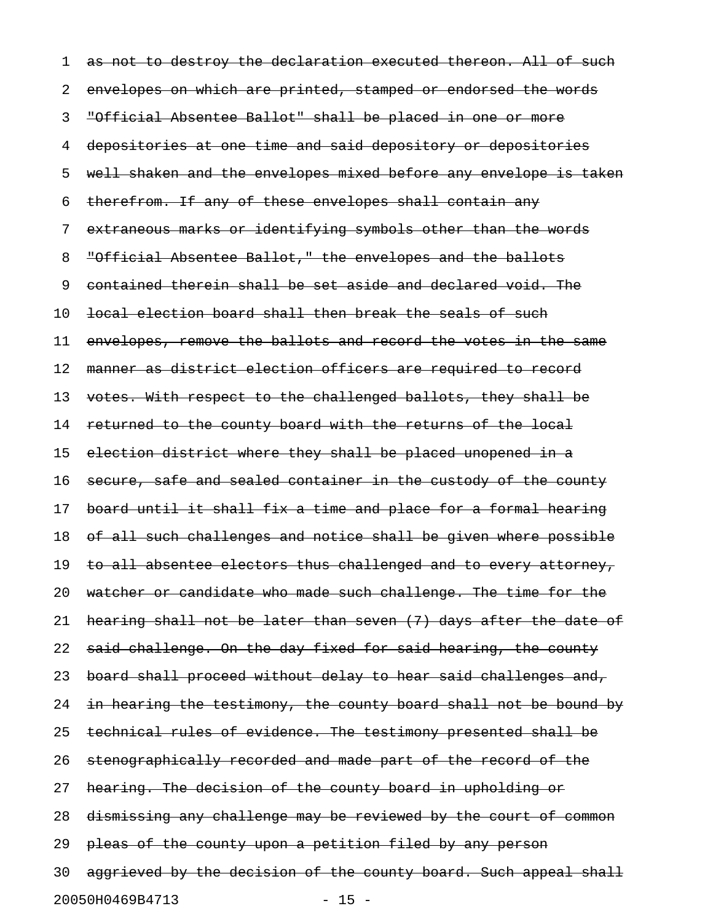1 as not to destroy the declaration executed thereon. All of such 2 envelopes on which are printed, stamped or endorsed the words 3 "Official Absentee Ballot" shall be placed in one or more 4 depositories at one time and said depository or depositories 5 well shaken and the envelopes mixed before any envelope is taken 6 therefrom. If any of these envelopes shall contain any 7 extraneous marks or identifying symbols other than the words 8 "Official Absentee Ballot," the envelopes and the ballots 9 contained therein shall be set aside and declared void. The 10 local election board shall then break the seals of such 11 envelopes, remove the ballots and record the votes in the same 12 manner as district election officers are required to record 13 votes. With respect to the challenged ballots, they shall be 14 returned to the county board with the returns of the local 15 election district where they shall be placed unopened in a 16 secure, safe and sealed container in the custody of the county 17 board until it shall fix a time and place for a formal hearing 18 of all such challenges and notice shall be given where possible 19 to all absentee electors thus challenged and to every attorney, 20 watcher or candidate who made such challenge. The time for the 21 hearing shall not be later than seven (7) days after the date of 22 said challenge. On the day fixed for said hearing, the county 23 board shall proceed without delay to hear said challenges and, 24 in hearing the testimony, the county board shall not be bound by 25 technical rules of evidence. The testimony presented shall be 26 stenographically recorded and made part of the record of the 27 hearing. The decision of the county board in upholding or 28 dismissing any challenge may be reviewed by the court of common 29 pleas of the county upon a petition filed by any person 30 aggrieved by the decision of the county board. Such appeal shall 20050H0469B4713 - 15 -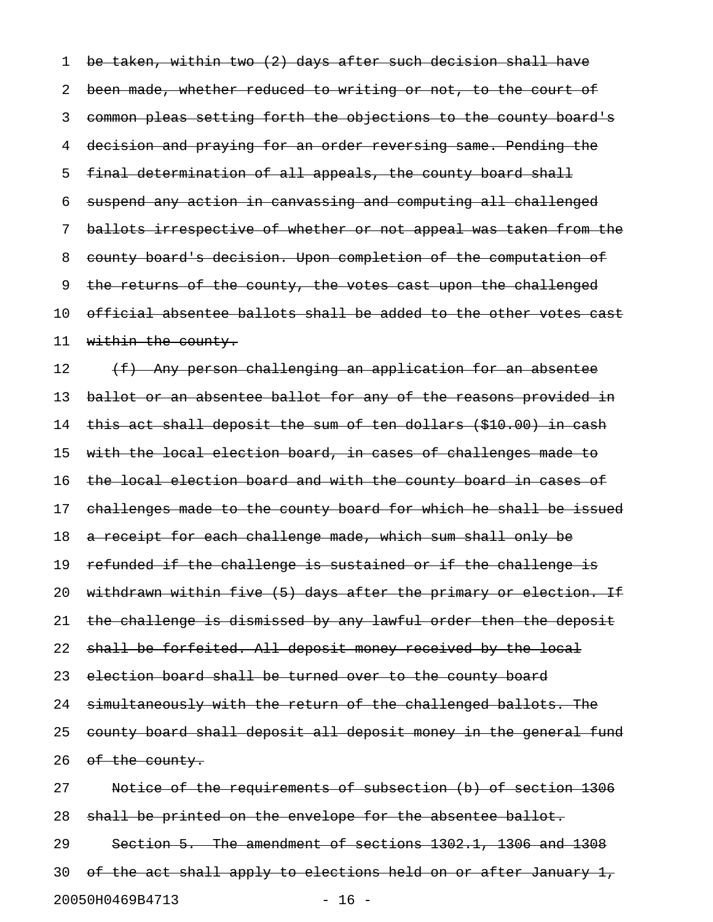1 be taken, within two (2) days after such decision shall have 2 been made, whether reduced to writing or not, to the court of 3 common pleas setting forth the objections to the county board's 4 decision and praying for an order reversing same. Pending the 5 final determination of all appeals, the county board shall 6 suspend any action in canvassing and computing all challenged 7 ballots irrespective of whether or not appeal was taken from the 8 county board's decision. Upon completion of the computation of 9 the returns of the county, the votes cast upon the challenged 10 official absentee ballots shall be added to the other votes cast 11 within the county.  $12$  (f) Any person challenging an application for an absentee 13 ballot or an absentee ballot for any of the reasons provided in 14 this act shall deposit the sum of ten dollars (\$10.00) in cash 15 with the local election board, in cases of challenges made to 16 the local election board and with the county board in cases of 17 challenges made to the county board for which he shall be issued 18 a receipt for each challenge made, which sum shall only be 19 refunded if the challenge is sustained or if the challenge is 20 withdrawn within five (5) days after the primary or election. If 21 the challenge is dismissed by any lawful order then the deposit 22 shall be forfeited. All deposit money received by the local 23 election board shall be turned over to the county board 24 simultaneously with the return of the challenged ballots. The 25 county board shall deposit all deposit money in the general fund 26 of the county. 27 Notice of the requirements of subsection (b) of section 1306 28 shall be printed on the envelope for the absentee ballot. 29 Section 5. The amendment of sections 1302.1, 1306 and 1308

30 of the act shall apply to elections held on or after January 1,

20050H0469B4713 - 16 -